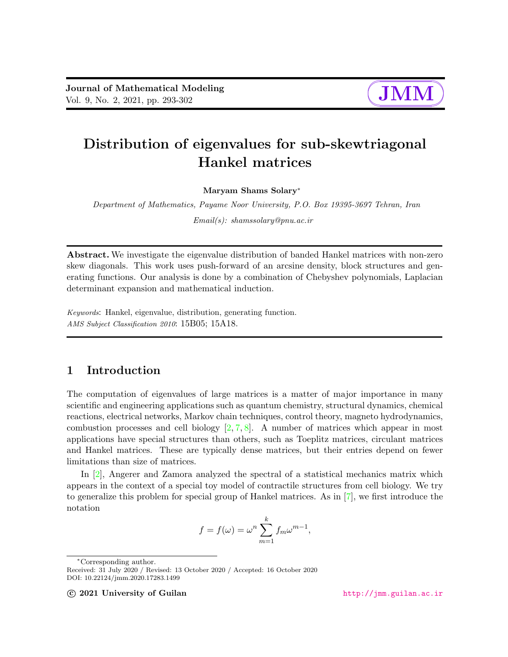

# Distribution of eigenvalues for sub-skewtriagonal Hankel matrices

Maryam Shams Solary<sup>∗</sup>

Department of Mathematics, Payame Noor University, P.O. Box 19395-3697 Tehran, Iran

Email(s): shamssolary@pnu.ac.ir

Abstract. We investigate the eigenvalue distribution of banded Hankel matrices with non-zero skew diagonals. This work uses push-forward of an arcsine density, block structures and generating functions. Our analysis is done by a combination of Chebyshev polynomials, Laplacian determinant expansion and mathematical induction.

Keywords: Hankel, eigenvalue, distribution, generating function. AMS Subject Classification 2010: 15B05; 15A18.

## 1 Introduction

The computation of eigenvalues of large matrices is a matter of major importance in many scientific and engineering applications such as quantum chemistry, structural dynamics, chemical reactions, electrical networks, Markov chain techniques, control theory, magneto hydrodynamics, combustion processes and cell biology  $[2, 7, 8]$  $[2, 7, 8]$  $[2, 7, 8]$  $[2, 7, 8]$  $[2, 7, 8]$ . A number of matrices which appear in most applications have special structures than others, such as Toeplitz matrices, circulant matrices and Hankel matrices. These are typically dense matrices, but their entries depend on fewer limitations than size of matrices.

In [\[2\]](#page-9-0), Angerer and Zamora analyzed the spectral of a statistical mechanics matrix which appears in the context of a special toy model of contractile structures from cell biology. We try to generalize this problem for special group of Hankel matrices. As in [\[7\]](#page-9-1), we first introduce the notation

$$
f = f(\omega) = \omega^n \sum_{m=1}^k f_m \omega^{m-1},
$$

<sup>∗</sup>Corresponding author.

Received: 31 July 2020 / Revised: 13 October 2020 / Accepted: 16 October 2020 DOI: 10.22124/jmm.2020.17283.1499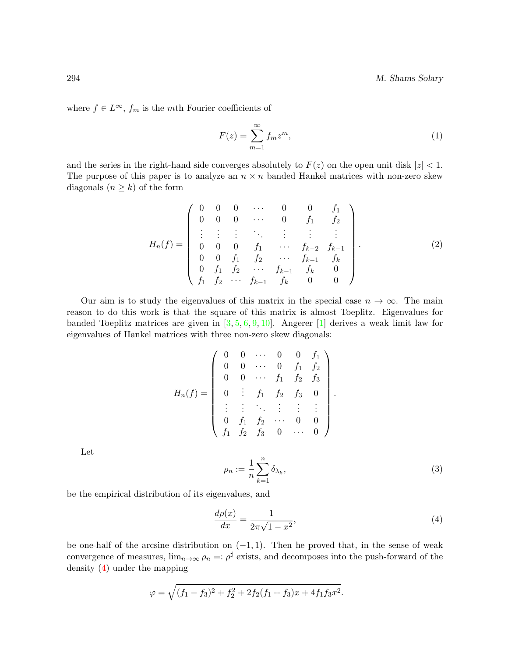294 M. Shams Solary

where  $f \in L^{\infty}$ ,  $f_m$  is the *mth* Fourier coefficients of

<span id="page-1-2"></span>
$$
F(z) = \sum_{m=1}^{\infty} f_m z^m,
$$
\n(1)

and the series in the right-hand side converges absolutely to  $F(z)$  on the open unit disk  $|z| < 1$ . The purpose of this paper is to analyze an  $n \times n$  banded Hankel matrices with non-zero skew diagonals  $(n \geq k)$  of the form

<span id="page-1-1"></span>
$$
H_n(f) = \begin{pmatrix} 0 & 0 & 0 & \cdots & 0 & 0 & f_1 \\ 0 & 0 & 0 & \cdots & 0 & f_1 & f_2 \\ \vdots & \vdots & \vdots & \ddots & \vdots & \vdots & \vdots \\ 0 & 0 & 0 & f_1 & \cdots & f_{k-2} & f_{k-1} \\ 0 & 0 & f_1 & f_2 & \cdots & f_{k-1} & f_k \\ 0 & f_1 & f_2 & \cdots & f_{k-1} & f_k & 0 \\ f_1 & f_2 & \cdots & f_{k-1} & f_k & 0 & 0 \end{pmatrix}
$$
(2)

Our aim is to study the eigenvalues of this matrix in the special case  $n \to \infty$ . The main reason to do this work is that the square of this matrix is almost Toeplitz. Eigenvalues for banded Toeplitz matrices are given in  $[3, 5, 6, 9, 10]$  $[3, 5, 6, 9, 10]$  $[3, 5, 6, 9, 10]$  $[3, 5, 6, 9, 10]$  $[3, 5, 6, 9, 10]$  $[3, 5, 6, 9, 10]$  $[3, 5, 6, 9, 10]$  $[3, 5, 6, 9, 10]$  $[3, 5, 6, 9, 10]$ . Angerer [\[1\]](#page-9-8) derives a weak limit law for eigenvalues of Hankel matrices with three non-zero skew diagonals:

$$
H_n(f) = \begin{pmatrix} 0 & 0 & \cdots & 0 & 0 & f_1 \\ 0 & 0 & \cdots & 0 & f_1 & f_2 \\ 0 & 0 & \cdots & f_1 & f_2 & f_3 \\ 0 & \vdots & f_1 & f_2 & f_3 & 0 \\ \vdots & \vdots & \ddots & \vdots & \vdots & \vdots \\ 0 & f_1 & f_2 & \cdots & 0 & 0 \\ f_1 & f_2 & f_3 & 0 & \cdots & 0 \end{pmatrix}
$$

Let

$$
\rho_n := \frac{1}{n} \sum_{k=1}^n \delta_{\lambda_k},\tag{3}
$$

.

be the empirical distribution of its eigenvalues, and

<span id="page-1-0"></span>
$$
\frac{d\rho(x)}{dx} = \frac{1}{2\pi\sqrt{1-x^2}},\tag{4}
$$

be one-half of the arcsine distribution on  $(-1, 1)$ . Then he proved that, in the sense of weak convergence of measures,  $\lim_{n\to\infty}\rho_n =: \rho^{\sharp}$  exists, and decomposes into the push-forward of the density [\(4\)](#page-1-0) under the mapping

$$
\varphi = \sqrt{(f_1 - f_3)^2 + f_2^2 + 2f_2(f_1 + f_3)x + 4f_1f_3x^2}.
$$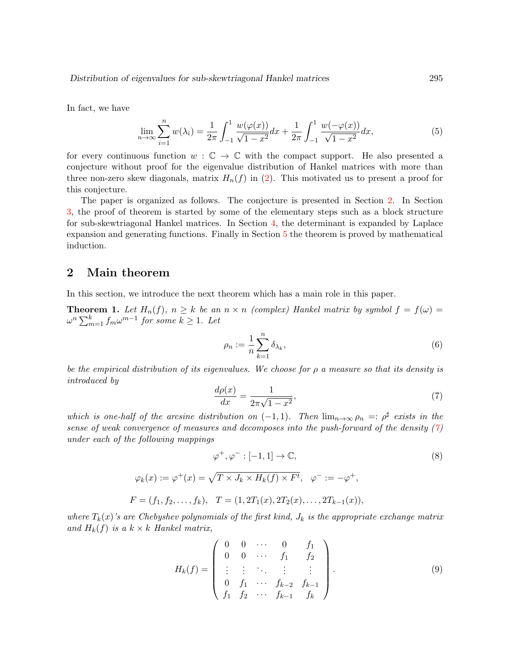In fact, we have

<span id="page-2-6"></span>
$$
\lim_{n \to \infty} \sum_{i=1}^{n} w(\lambda_i) = \frac{1}{2\pi} \int_{-1}^{1} \frac{w(\varphi(x))}{\sqrt{1 - x^2}} dx + \frac{1}{2\pi} \int_{-1}^{1} \frac{w(-\varphi(x))}{\sqrt{1 - x^2}} dx,
$$
\n(5)

for every continuous function  $w : \mathbb{C} \to \mathbb{C}$  with the compact support. He also presented a conjecture without proof for the eigenvalue distribution of Hankel matrices with more than three non-zero skew diagonals, matrix  $H_n(f)$  in [\(2\)](#page-1-1). This motivated us to present a proof for this conjecture.

The paper is organized as follows. The conjecture is presented in Section [2.](#page-2-0) In Section [3,](#page-3-0) the proof of theorem is started by some of the elementary steps such as a block structure for sub-skewtriagonal Hankel matrices. In Section [4,](#page-4-0) the determinant is expanded by Laplace expansion and generating functions. Finally in Section [5](#page-7-0) the theorem is proved by mathematical induction.

### <span id="page-2-0"></span>2 Main theorem

In this section, we introduce the next theorem which has a main role in this paper.

<span id="page-2-5"></span>**Theorem 1.** Let  $H_n(f)$ ,  $n \geq k$  be an  $n \times n$  (complex) Hankel matrix by symbol  $f = f(\omega)$  $\omega^n\sum_{m=1}^k f_m\omega^{m-1}$  for some  $k\geq 1$ . Let

<span id="page-2-2"></span>
$$
\rho_n := \frac{1}{n} \sum_{k=1}^n \delta_{\lambda_k},\tag{6}
$$

be the empirical distribution of its eigenvalues. We choose for  $\rho$  a measure so that its density is introduced by

<span id="page-2-3"></span><span id="page-2-1"></span>
$$
\frac{d\rho(x)}{dx} = \frac{1}{2\pi\sqrt{1-x^2}},\tag{7}
$$

which is one-half of the arcsine distribution on  $(-1,1)$ . Then  $\lim_{n\to\infty}\rho_n =: \rho^{\sharp}$  exists in the sense of weak convergence of measures and decomposes into the push-forward of the density  $(7)$ under each of the following mappings

$$
\varphi^+, \varphi^- : [-1, 1] \to \mathbb{C},
$$
  
\n
$$
\varphi_k(x) := \varphi^+(x) = \sqrt{T \times J_k \times H_k(f) \times F^t}, \quad \varphi^- := -\varphi^+,
$$
  
\n
$$
F = (f_1, f_2, \dots, f_k), \quad T = (1, 2T_1(x), 2T_2(x), \dots, 2T_{k-1}(x)),
$$

where  $T_k(x)$ 's are Chebyshev polynomials of the first kind,  $J_k$  is the appropriate exchange matrix and  $H_k(f)$  is a  $k \times k$  Hankel matrix,

<span id="page-2-4"></span>
$$
H_k(f) = \begin{pmatrix} 0 & 0 & \cdots & 0 & f_1 \\ 0 & 0 & \cdots & f_1 & f_2 \\ \vdots & \vdots & \ddots & \vdots & \vdots \\ 0 & f_1 & \cdots & f_{k-2} & f_{k-1} \\ f_1 & f_2 & \cdots & f_{k-1} & f_k \end{pmatrix}.
$$
 (9)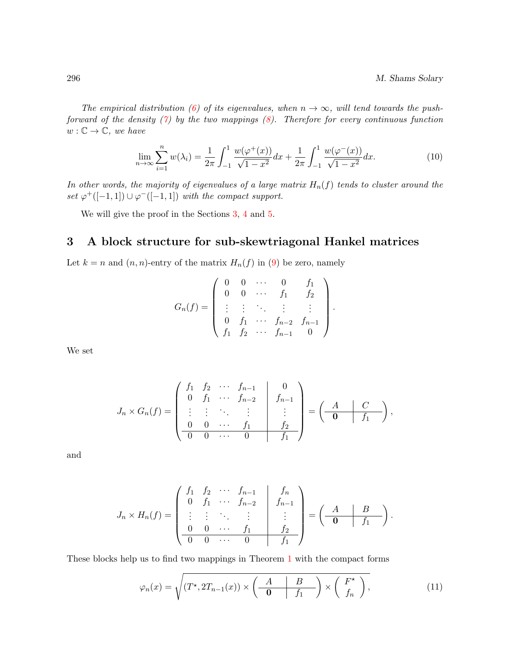The empirical distribution [\(6\)](#page-2-2) of its eigenvalues, when  $n \to \infty$ , will tend towards the pushforward of the density  $(7)$  by the two mappings  $(8)$ . Therefore for every continuous function  $w: \mathbb{C} \to \mathbb{C},$  we have

<span id="page-3-2"></span>
$$
\lim_{n \to \infty} \sum_{i=1}^{n} w(\lambda_i) = \frac{1}{2\pi} \int_{-1}^{1} \frac{w(\varphi^+(x))}{\sqrt{1 - x^2}} dx + \frac{1}{2\pi} \int_{-1}^{1} \frac{w(\varphi^-(x))}{\sqrt{1 - x^2}} dx.
$$
 (10)

In other words, the majority of eigenvalues of a large matrix  $H_n(f)$  tends to cluster around the set  $\varphi^+([-1,1]) \cup \varphi^-([-1,1])$  with the compact support.

We will give the proof in the Sections [3,](#page-3-0) [4](#page-4-0) and [5.](#page-7-0)

### <span id="page-3-0"></span>3 A block structure for sub-skewtriagonal Hankel matrices

Let  $k = n$  and  $(n, n)$ -entry of the matrix  $H_n(f)$  in [\(9\)](#page-2-4) be zero, namely

$$
G_n(f) = \begin{pmatrix} 0 & 0 & \cdots & 0 & f_1 \\ 0 & 0 & \cdots & f_1 & f_2 \\ \vdots & \vdots & \ddots & \vdots & \vdots \\ 0 & f_1 & \cdots & f_{n-2} & f_{n-1} \\ f_1 & f_2 & \cdots & f_{n-1} & 0 \end{pmatrix}.
$$

We set

$$
J_n \times G_n(f) = \begin{pmatrix} f_1 & f_2 & \cdots & f_{n-1} & 0 \\ 0 & f_1 & \cdots & f_{n-2} & f_{n-1} \\ \vdots & \vdots & \ddots & \vdots & \vdots \\ 0 & 0 & \cdots & f_1 & f_2 \\ \hline 0 & 0 & \cdots & 0 & f_1 \end{pmatrix} = \begin{pmatrix} A & C \\ 0 & f_1 \end{pmatrix},
$$

and

$$
J_n \times H_n(f) = \begin{pmatrix} f_1 & f_2 & \cdots & f_{n-1} & f_n \\ 0 & f_1 & \cdots & f_{n-2} & f_{n-1} \\ \vdots & \vdots & \ddots & \vdots & \vdots \\ 0 & 0 & \cdots & f_1 & f_2 \\ \hline 0 & 0 & \cdots & 0 & f_1 \end{pmatrix} = \begin{pmatrix} A & B \\ 0 & f_1 \end{pmatrix}.
$$

These blocks help us to find two mappings in Theorem [1](#page-2-5) with the compact forms

<span id="page-3-1"></span>
$$
\varphi_n(x) = \sqrt{(T^*, 2T_{n-1}(x)) \times \left(\begin{array}{c|c} A & B \\ \hline \mathbf{0} & f_1 \end{array}\right) \times \left(\begin{array}{c} F^* \\ f_n \end{array}\right)},\tag{11}
$$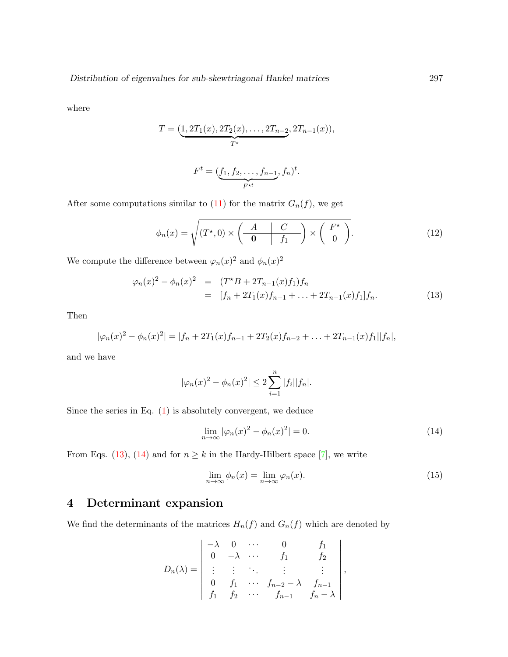where

$$
T = (\underbrace{1, 2T_1(x), 2T_2(x), \dots, 2T_{n-2}}_{T^*}, 2T_{n-1}(x)),
$$
  

$$
F^t = (\underbrace{f_1, f_2, \dots, f_{n-1}}_{F^{*t}}, f_n)^t.
$$

After some computations similar to [\(11\)](#page-3-1) for the matrix  $G_n(f)$ , we get

$$
\phi_n(x) = \sqrt{(T^*, 0) \times \left(\begin{array}{c|c} A & C \\ \hline \mathbf{0} & f_1 \end{array}\right) \times \left(\begin{array}{c} F^\star \\ 0 \end{array}\right)}.\tag{12}
$$

We compute the difference between  $\varphi_n(x)^2$  and  $\phi_n(x)^2$ 

<span id="page-4-1"></span>
$$
\varphi_n(x)^2 - \phi_n(x)^2 = (T^*B + 2T_{n-1}(x)f_1)f_n
$$
  
=  $[f_n + 2T_1(x)f_{n-1} + ... + 2T_{n-1}(x)f_1]f_n.$  (13)

Then

$$
|\varphi_n(x)|^2 - \phi_n(x)|^2 = |f_n + 2T_1(x)f_{n-1} + 2T_2(x)f_{n-2} + \ldots + 2T_{n-1}(x)f_1||f_n|,
$$

and we have

$$
|\varphi_n(x)|^2 - \phi_n(x)^2| \le 2 \sum_{i=1}^n |f_i||f_n|.
$$

Since the series in Eq.  $(1)$  is absolutely convergent, we deduce

<span id="page-4-2"></span>
$$
\lim_{n \to \infty} |\varphi_n(x)|^2 - \phi_n(x)|^2 = 0. \tag{14}
$$

From Eqs. [\(13\)](#page-4-1), [\(14\)](#page-4-2) and for  $n \geq k$  in the Hardy-Hilbert space [\[7\]](#page-9-1), we write

<span id="page-4-3"></span>
$$
\lim_{n \to \infty} \phi_n(x) = \lim_{n \to \infty} \varphi_n(x). \tag{15}
$$

# <span id="page-4-0"></span>4 Determinant expansion

We find the determinants of the matrices  $H_n(f)$  and  $G_n(f)$  which are denoted by

$$
D_n(\lambda) = \begin{vmatrix} -\lambda & 0 & \cdots & 0 & f_1 \\ 0 & -\lambda & \cdots & f_1 & f_2 \\ \vdots & \vdots & \ddots & \vdots & \vdots \\ 0 & f_1 & \cdots & f_{n-2} - \lambda & f_{n-1} \\ f_1 & f_2 & \cdots & f_{n-1} & f_n - \lambda \end{vmatrix},
$$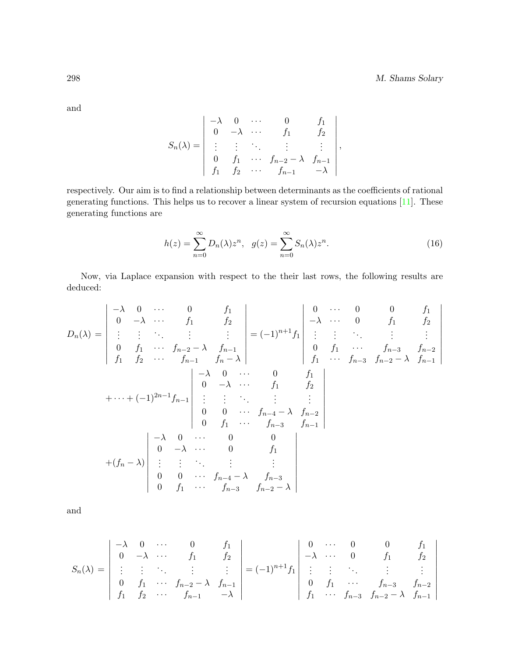and

$$
S_n(\lambda) = \begin{vmatrix} -\lambda & 0 & \cdots & 0 & f_1 \\ 0 & -\lambda & \cdots & f_1 & f_2 \\ \vdots & \vdots & \ddots & \vdots & \vdots \\ 0 & f_1 & \cdots & f_{n-2} - \lambda & f_{n-1} \\ f_1 & f_2 & \cdots & f_{n-1} & -\lambda \end{vmatrix},
$$

respectively. Our aim is to find a relationship between determinants as the coefficients of rational generating functions. This helps us to recover a linear system of recursion equations [\[11\]](#page-9-9). These generating functions are

$$
h(z) = \sum_{n=0}^{\infty} D_n(\lambda) z^n, \quad g(z) = \sum_{n=0}^{\infty} S_n(\lambda) z^n.
$$
 (16)

Now, via Laplace expansion with respect to the their last rows, the following results are deduced:

$$
D_n(\lambda) = \begin{vmatrix} -\lambda & 0 & \cdots & 0 & f_1 \\ 0 & -\lambda & \cdots & f_1 & f_2 \\ \vdots & \vdots & \ddots & \vdots & \vdots \\ 0 & f_1 & \cdots & f_{n-2} - \lambda & f_{n-1} \\ f_1 & f_2 & \cdots & f_{n-1} & f_n - \lambda \end{vmatrix} = (-1)^{n+1} f_1 \begin{vmatrix} 0 & \cdots & 0 & 0 & f_1 \\ -\lambda & \cdots & 0 & f_1 & f_2 \\ \vdots & \vdots & \ddots & \vdots & \vdots \\ 0 & f_1 & \cdots & f_{n-3} & f_{n-2} \\ f_1 & \cdots & f_{n-3} & f_{n-2} - \lambda & f_{n-1} \end{vmatrix}
$$
  
+ \cdots + (-1)^{2n-1} f\_{n-1} \begin{vmatrix} -\lambda & 0 & \cdots & 0 & f\_1 \\ 0 & -\lambda & \cdots & f\_1 & f\_2 \\ \vdots & \vdots & \ddots & \vdots & \vdots \\ 0 & 0 & \cdots & f\_{n-4} - \lambda & f\_{n-2} \\ 0 & f\_1 & \cdots & f\_{n-3} & f\_{n-1} \end{vmatrix}  
+ 
$$
(f_n - \lambda) \begin{vmatrix} -\lambda & 0 & \cdots & 0 & 0 \\ 0 & -\lambda & \cdots & 0 & f_1 \\ \vdots & \vdots & \ddots & \vdots & \vdots \\ 0 & 0 & \cdots & f_{n-4} - \lambda & f_{n-3} \\ 0 & f_1 & \cdots & f_{n-3} & f_{n-2} - \lambda \end{vmatrix}
$$

and

$$
S_n(\lambda) = \begin{vmatrix} -\lambda & 0 & \cdots & 0 & f_1 \\ 0 & -\lambda & \cdots & f_1 & f_2 \\ \vdots & \vdots & \ddots & \vdots & \vdots \\ 0 & f_1 & \cdots & f_{n-2} - \lambda & f_{n-1} \\ f_1 & f_2 & \cdots & f_{n-1} & -\lambda \end{vmatrix} = (-1)^{n+1} f_1 \begin{vmatrix} 0 & \cdots & 0 & 0 & f_1 \\ -\lambda & \cdots & 0 & f_1 & f_2 \\ \vdots & \vdots & \ddots & \vdots & \vdots \\ 0 & f_1 & \cdots & f_{n-3} & f_{n-2} \\ f_1 & \cdots & f_{n-3} & f_{n-2} - \lambda & f_{n-1} \end{vmatrix}
$$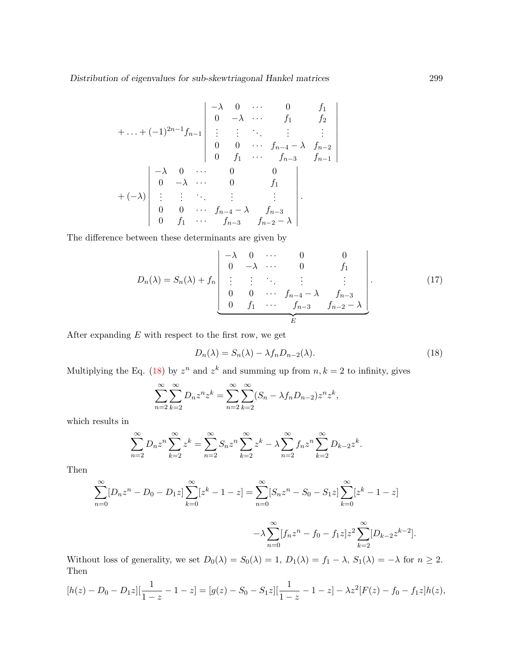$$
+ \ldots + (-1)^{2n-1} f_{n-1} \begin{vmatrix} -\lambda & 0 & \cdots & 0 & f_1 \\ 0 & -\lambda & \cdots & f_1 & f_2 \\ \vdots & \vdots & \ddots & \vdots & \vdots \\ 0 & 0 & \cdots & f_{n-4} - \lambda & f_{n-2} \\ 0 & f_1 & \cdots & f_{n-3} & f_{n-1} \end{vmatrix}
$$
  
+  $(-\lambda) \begin{vmatrix} -\lambda & 0 & \cdots & 0 & 0 \\ 0 & -\lambda & \cdots & 0 & f_1 \\ \vdots & \vdots & \ddots & \vdots & \vdots \\ 0 & 0 & \cdots & f_{n-4} - \lambda & f_{n-3} \\ 0 & f_1 & \cdots & f_{n-3} & f_{n-2} - \lambda \end{vmatrix}$ 

The difference between these determinants are given by

$$
D_n(\lambda) = S_n(\lambda) + f_n \begin{bmatrix} -\lambda & 0 & \cdots & 0 & 0 \\ 0 & -\lambda & \cdots & 0 & f_1 \\ \vdots & \vdots & \ddots & \vdots & \vdots \\ 0 & 0 & \cdots & f_{n-4} - \lambda & f_{n-3} \\ 0 & f_1 & \cdots & f_{n-3} & f_{n-2} - \lambda \end{bmatrix} .
$$
 (17)

After expanding  $E$  with respect to the first row, we get

<span id="page-6-0"></span>
$$
D_n(\lambda) = S_n(\lambda) - \lambda f_n D_{n-2}(\lambda).
$$
\n(18)

 $\overline{\phantom{a}}$ I  $\overline{\phantom{a}}$ I  $\overline{\phantom{a}}$ I  $\overline{\phantom{a}}$ I  $\overline{\phantom{a}}$ I  $\mid$ 

Multiplying the Eq. [\(18\)](#page-6-0) by  $z^n$  and  $z^k$  and summing up from  $n, k = 2$  to infinity, gives

$$
\sum_{n=2}^{\infty} \sum_{k=2}^{\infty} D_n z^n z^k = \sum_{n=2}^{\infty} \sum_{k=2}^{\infty} (S_n - \lambda f_n D_{n-2}) z^n z^k,
$$

which results in

$$
\sum_{n=2}^{\infty} D_n z^n \sum_{k=2}^{\infty} z^k = \sum_{n=2}^{\infty} S_n z^n \sum_{k=2}^{\infty} z^k - \lambda \sum_{n=2}^{\infty} f_n z^n \sum_{k=2}^{\infty} D_{k-2} z^k.
$$

Then

$$
\sum_{n=0}^{\infty} [D_n z^n - D_0 - D_1 z] \sum_{k=0}^{\infty} [z^k - 1 - z] = \sum_{n=0}^{\infty} [S_n z^n - S_0 - S_1 z] \sum_{k=0}^{\infty} [z^k - 1 - z]
$$

$$
-\lambda \sum_{n=0}^{\infty} [f_n z^n - f_0 - f_1 z] z^2 \sum_{k=2}^{\infty} [D_{k-2} z^{k-2}].
$$

Without loss of generality, we set  $D_0(\lambda) = S_0(\lambda) = 1$ ,  $D_1(\lambda) = f_1 - \lambda$ ,  $S_1(\lambda) = -\lambda$  for  $n \ge 2$ . Then

$$
[h(z) - D_0 - D_1 z][\frac{1}{1-z} - 1 - z] = [g(z) - S_0 - S_1 z][\frac{1}{1-z} - 1 - z] - \lambda z^2 [F(z) - f_0 - f_1 z]h(z),
$$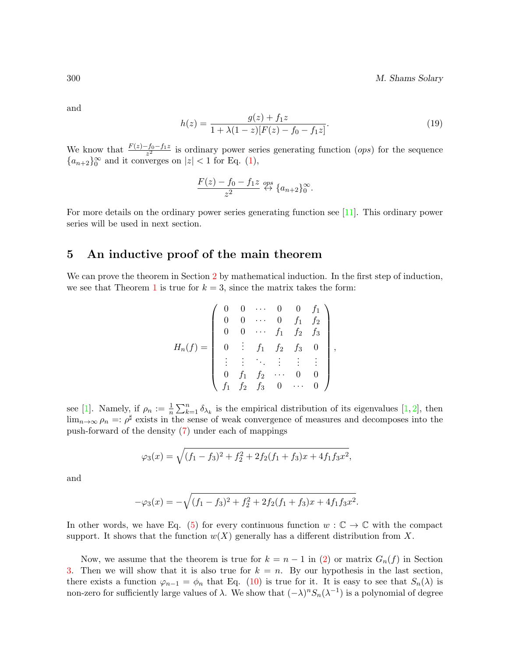300 M. Shams Solary

and

<span id="page-7-1"></span>
$$
h(z) = \frac{g(z) + f_1 z}{1 + \lambda (1 - z)[F(z) - f_0 - f_1 z]}.
$$
\n(19)

We know that  $\frac{F(z)-f_0-f_1z}{z^2}$  is ordinary power series generating function  $(\rho ps)$  for the sequence  ${a_{n+2}}_0^{\infty}$  and it converges on  $|z| < 1$  for Eq. [\(1\)](#page-1-2),

$$
\frac{F(z) - f_0 - f_1 z}{z^2} \stackrel{ops}{\leftrightarrow} \{a_{n+2}\}_0^\infty.
$$

For more details on the ordinary power series generating function see [\[11\]](#page-9-9). This ordinary power series will be used in next section.

## <span id="page-7-0"></span>5 An inductive proof of the main theorem

We can prove the theorem in Section [2](#page-2-0) by mathematical induction. In the first step of induction, we see that Theorem [1](#page-2-5) is true for  $k = 3$ , since the matrix takes the form:

$$
H_n(f) = \begin{pmatrix} 0 & 0 & \cdots & 0 & 0 & f_1 \\ 0 & 0 & \cdots & 0 & f_1 & f_2 \\ 0 & 0 & \cdots & f_1 & f_2 & f_3 \\ 0 & \vdots & f_1 & f_2 & f_3 & 0 \\ \vdots & \vdots & \ddots & \vdots & \vdots & \vdots \\ 0 & f_1 & f_2 & \cdots & 0 & 0 \\ f_1 & f_2 & f_3 & 0 & \cdots & 0 \end{pmatrix},
$$

see [\[1\]](#page-9-8). Namely, if  $\rho_n := \frac{1}{n} \sum_{k=1}^n \delta_{\lambda_k}$  is the empirical distribution of its eigenvalues [\[1,](#page-9-8) [2\]](#page-9-0), then  $\lim_{n\to\infty}\rho_n=:\rho^\sharp$  exists in the sense of weak convergence of measures and decomposes into the push-forward of the density [\(7\)](#page-2-1) under each of mappings

$$
\varphi_3(x) = \sqrt{(f_1 - f_3)^2 + f_2^2 + 2f_2(f_1 + f_3)x + 4f_1f_3x^2},
$$

and

$$
-\varphi_3(x) = -\sqrt{(f_1 - f_3)^2 + f_2^2 + 2f_2(f_1 + f_3)x + 4f_1f_3x^2}.
$$

In other words, we have Eq. [\(5\)](#page-2-6) for every continuous function  $w : \mathbb{C} \to \mathbb{C}$  with the compact support. It shows that the function  $w(X)$  generally has a different distribution from X.

Now, we assume that the theorem is true for  $k = n - 1$  in [\(2\)](#page-1-1) or matrix  $G_n(f)$  in Section [3.](#page-3-0) Then we will show that it is also true for  $k = n$ . By our hypothesis in the last section, there exists a function  $\varphi_{n-1} = \varphi_n$  that Eq. [\(10\)](#page-3-2) is true for it. It is easy to see that  $S_n(\lambda)$  is non-zero for sufficiently large values of  $\lambda$ . We show that  $(-\lambda)^n S_n(\lambda^{-1})$  is a polynomial of degree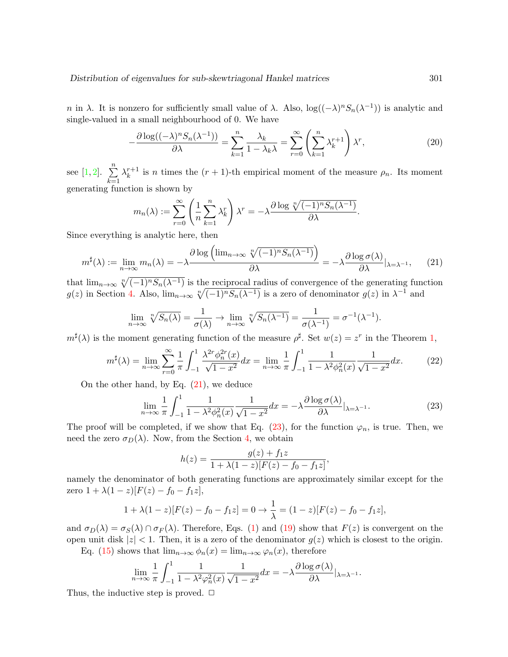n in  $\lambda$ . It is nonzero for sufficiently small value of  $\lambda$ . Also,  $\log((-\lambda)^n S_n(\lambda^{-1}))$  is analytic and single-valued in a small neighbourhood of 0. We have

$$
-\frac{\partial \log((-\lambda)^n S_n(\lambda^{-1}))}{\partial \lambda} = \sum_{k=1}^n \frac{\lambda_k}{1 - \lambda_k \lambda} = \sum_{r=0}^\infty \left(\sum_{k=1}^n \lambda_k^{r+1}\right) \lambda^r,\tag{20}
$$

see [\[1,](#page-9-8) [2\]](#page-9-0).  $\sum_{n=1}^{\infty}$  $_{k=1}$  $\lambda_k^{r+1}$  $k^{r+1}$  is *n* times the  $(r+1)$ -th empirical moment of the measure  $\rho_n$ . Its moment generating function is shown by

$$
m_n(\lambda) := \sum_{r=0}^{\infty} \left( \frac{1}{n} \sum_{k=1}^n \lambda_k^r \right) \lambda^r = -\lambda \frac{\partial \log \sqrt[n]{(-1)^n S_n(\lambda^{-1})}}{\partial \lambda}.
$$

Since everything is analytic here, then

<span id="page-8-0"></span>
$$
m^{\sharp}(\lambda) := \lim_{n \to \infty} m_n(\lambda) = -\lambda \frac{\partial \log \left( \lim_{n \to \infty} \sqrt[n]{(-1)^n S_n(\lambda^{-1})} \right)}{\partial \lambda} = -\lambda \frac{\partial \log \sigma(\lambda)}{\partial \lambda} |_{\lambda = \lambda^{-1}}, \quad (21)
$$

that  $\lim_{n\to\infty} \sqrt[n]{(-1)^n S_n(\lambda^{-1})}$  is the reciprocal radius of convergence of the generating function  $g(z)$  in Section [4.](#page-4-0) Also,  $\lim_{n\to\infty} \sqrt[n]{(-1)^n S_n(\lambda^{-1})}$  is a zero of denominator  $g(z)$  in  $\lambda^{-1}$  and

$$
\lim_{n \to \infty} \sqrt[n]{S_n(\lambda)} = \frac{1}{\sigma(\lambda)} \to \lim_{n \to \infty} \sqrt[n]{S_n(\lambda^{-1})} = \frac{1}{\sigma(\lambda^{-1})} = \sigma^{-1}(\lambda^{-1}).
$$

 $m^{\sharp}(\lambda)$  is the moment generating function of the measure  $\rho^{\sharp}$ . Set  $w(z) = z^r$  in the Theorem [1,](#page-2-5)

$$
m^{\sharp}(\lambda) = \lim_{n \to \infty} \sum_{r=0}^{\infty} \frac{1}{\pi} \int_{-1}^{1} \frac{\lambda^{2r} \phi_n^{2r}(x)}{\sqrt{1 - x^2}} dx = \lim_{n \to \infty} \frac{1}{\pi} \int_{-1}^{1} \frac{1}{1 - \lambda^2 \phi_n^2(x)} \frac{1}{\sqrt{1 - x^2}} dx.
$$
 (22)

On the other hand, by Eq.  $(21)$ , we deduce

<span id="page-8-1"></span>
$$
\lim_{n \to \infty} \frac{1}{\pi} \int_{-1}^{1} \frac{1}{1 - \lambda^2 \phi_n^2(x)} \frac{1}{\sqrt{1 - x^2}} dx = -\lambda \frac{\partial \log \sigma(\lambda)}{\partial \lambda} |_{\lambda = \lambda^{-1}}.
$$
 (23)

The proof will be completed, if we show that Eq.  $(23)$ , for the function  $\varphi_n$ , is true. Then, we need the zero  $\sigma_D(\lambda)$ . Now, from the Section [4,](#page-4-0) we obtain

$$
h(z) = \frac{g(z) + f_1 z}{1 + \lambda (1 - z)[F(z) - f_0 - f_1 z]},
$$

namely the denominator of both generating functions are approximately similar except for the zero  $1 + \lambda(1 - z)[F(z) - f_0 - f_1z],$ 

$$
1 + \lambda(1 - z)[F(z) - f_0 - f_1 z] = 0 \to \frac{1}{\lambda} = (1 - z)[F(z) - f_0 - f_1 z],
$$

and  $\sigma_D(\lambda) = \sigma_S(\lambda) \cap \sigma_F(\lambda)$ . Therefore, Eqs. [\(1\)](#page-1-2) and [\(19\)](#page-7-1) show that  $F(z)$  is convergent on the open unit disk  $|z| < 1$ . Then, it is a zero of the denominator  $g(z)$  which is closest to the origin.

Eq. [\(15\)](#page-4-3) shows that  $\lim_{n\to\infty} \phi_n(x) = \lim_{n\to\infty} \varphi_n(x)$ , therefore

$$
\lim_{n \to \infty} \frac{1}{\pi} \int_{-1}^{1} \frac{1}{1 - \lambda^2 \varphi_n^2(x)} \frac{1}{\sqrt{1 - x^2}} dx = -\lambda \frac{\partial \log \sigma(\lambda)}{\partial \lambda} |_{\lambda = \lambda^{-1}}.
$$

Thus, the inductive step is proved.  $\Box$